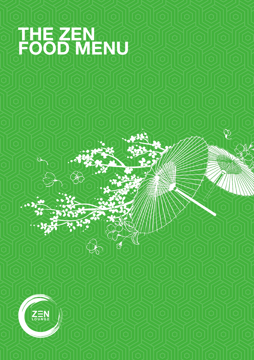# **THE ZEN FOOD MENU**

D

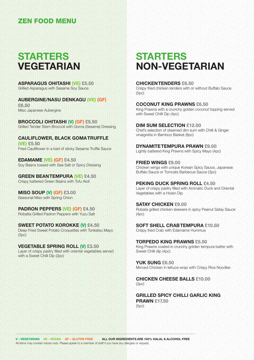### **STARTERS VEGETARIAN**

**ASPARAGUS OHITASHI (VE) £5.50** Grilled Asparagus with Sesame Soy Sauce

**AUBERGINE/NASU DENKAGU (VE) (GF) £6.50**

Miso Japanese Aubergine

**BROCCOLI OHITASHI (V) (GF) £5.50** Grilled Tender Stem Broccoli with Goma (Sesame) Dressing

**CAULIFLOWER, BLACK GOMA TRUFFLE (VE) £5.50** Fried Cauliflower in a bed of sticky Sesame Truffle Sauce

**EDAMAME (VE) (GF) £4.50** Soy Beans tossed with Sea Salt or Spicy Dressing

**GREEN BEAN TEMPURA (VE) £4.50** Crispy battered Green Beans with Tofu Aioli

**MISO SOUP (V) (GF) £3.00** Seasonal Miso with Spring Onion

**PADRON PEPPERS (VE) (GF) £4.50** Robatta Grilled Padron Peppers with Yuzu Salt

**SWEET POTATO KOROKKE (V) £4.50** Deep Fried Sweet Potato Croquettes with Tonkatsu Mayo (3pc)

**VEGETABLE SPRING ROLL (V) £3.50** Layer of crispy pastry filled with oriental vegetables served with a Sweet Chilli Dip (3pc)

## **STARTERS NON-VEGETARIAN**

**CHICKEN TENDERS £6.50** Crispy fried chicken tenders with or without Buffalo Sauce (5pc)

**COCONUT KING PRAWNS £6.50** King Prawns with a crunchy golden coconut topping served with Sweet Chilli Dip (4pc)

**DIM SUM SELECTION £12.00** Chef's selection of steamed dim sum with Chilli & Ginger vinaigrette in Bamboo Basket (6pc)

**DYNAMITE TEMPURA PRAWN £9.00** Lightly battered King Prawns with Spicy Mayo (4pc)

**FRIED WINGS £9.00** Chicken wings with unique Korean Spicy Sauce, Japanese Buffalo Sauce or Tomcats Barbecue Sauce (3pc)

**PEKING DUCK SPRING ROLL £4.50** Layer of crispy pastry filled with Aromatic Duck and Oriental Vegetables with a Hoisin Dip

**SATAY CHICKEN £9.00** Robata grilled chicken skewers in spicy Peanut Satay Sauce (4pc)

**SOFT SHELL CRAB TEMPURA £10.50** Crispy fried Crab with Edamame Hummus

**TORPEDO KING PRAWNS £5.50** King Prawns coated in crunchy golden tempura batter with Sweet Chilli dip (4pc)

**YUK SUNG £6.50** Minced Chicken in lettuce wrap with Crispy Rice Noodles

**CHICKEN CHEESE BALLS £10.00**  $(Snc)$ 

**GRILLED SPICY CHILLI GARLIC KING PRAWN £17.50** (5pc)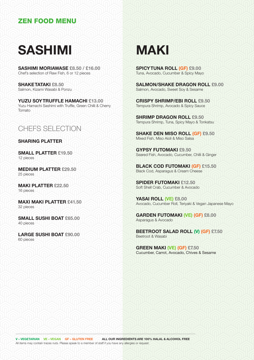## **SASHIMI**

**SASHIMI MORIAWASE £8.50 / £16.00** Chef's selection of Raw Fish, 6 or 12 pieces

**SHAKE TATAKI £8.50** Salmon, Kizami Wasabi & Ponzu

**YUZU SOY TRUFFLE HAMACHI £13.00** Yuzu Hamachi Sashimi with Truffle, Green Chilli & Cherry Tomato

### CHEFS SELECTION

#### **SHARING PLATTER**

**SMALL PLATTER £19.50** 12 pieces

**MEDIUM PLATTER £29.50** 25 pieces

**MAKI PLATTER £22.50** 16 pieces

**MAXI MAKI PLATTER £41.50** 32 pieces

**SMALL SUSHI BOAT £65.00** 40 pieces

**LARGE SUSHI BOAT £90.00** 60 pieces

## **MAKI**

**SPICY TUNA ROLL (GF) £9.00** Tuna, Avocado, Cucumber & Spicy Mayo

**SALMON/SHAKE DRAGON ROLL £9.00** Salmon, Avocado, Sweet Soy & Sesame

**CRISPY SHRIMP/EBI ROLL £9.50** Tempura Shrimp, Avocado & Spicy Sauce

**SHRIMP DRAGON ROLL £9.50** Tempura Shrimp, Tuna, Spicy Mayo & Tonkatsu

**SHAKE DEN MISO ROLL (GF) £9.50** Mixed Fish, Miso Aioli & Miso Salsa

**GYPSY FUTOMAKI £9.50** Seared Fish, Avocado, Cucumber, Chilli & Ginger

**BLACK COD FUTOMAKI (GF) £15.50** Black Cod, Asparagus & Cream Cheese

**SPIDER FUTOMAKI £12.50** Soft Shell Crab, Cucumber & Avocado

**YASAI ROLL (VE) £8.00** Avocado, Cucumber Roll, Teriyaki & Vegan Japanese Mayo

**GARDEN FUTOMAKI (VE) (GF) £8.00** Asparagus & Avocado

**BEETROOT SALAD ROLL (V) (GF) £7.50** Beetroot & Wasabi

**GREEN MAKI (VE) (GF) £7.50** Cucumber, Carrot, Avocado, Chives & Sesame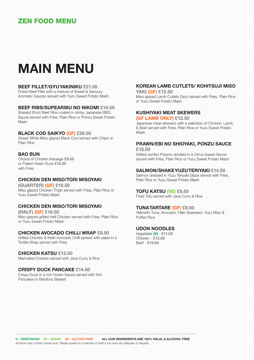## **MAIN MENU**

#### **BEEF FILLET/GYU YAKINIKU £21.50**

Finest Beef Fillet with a mixture of Sweet & Savoury Aromatic Sauces served with Yuzu Sweet Potato Mash

#### **BEEF RIBS/SUPEARIBU NO NIKOMI £18.50**

Braised Short Beef Ribs coated in sticky Japanese BBQ Sauce served with Fries, Plain Rice or Ponzu Sweet Potato **Mach** 

#### **BLACK COD SAIKYO (GF) £28.50**

Sweet White Miso glazed Black Cod served with Chips or Plain Rice

#### **BAO BUN**

Choice of Chicken Karaage **£9.50** or Pulled Hoisin Duck **£10.50** with Frige

#### **CHICKEN DEN MISO/TORI MISOYAKI**

**(QUARTER) (GF) £10.50** Miso glazed Chicken Thigh served with Fries, Plain Rice or Yuzu Sweet Potato Mash

#### **CHICKEN DEN MISO/TORI MISOYAKI**

**(HALF) (GF) £16.50** Miso glazed grilled Half Chicken served with Fries, Plain Rice or Yuzu Sweet Potato Mash

#### **CHICKEN AVOCADO CHILLI WRAP £9.50**

Grilled Chicken & fresh Avocado Chilli spread with salad in a Tortilla Wrap served with Fries

#### **CHICKEN KATSU £12.50**

Marinated Chicken served with Java Curry & Rice

**CRISPY DUCK PANCAKE £14.50** Crispy Duck in a rich Hoisin Sauce served with thin Pancakes in Bamboo Basket

#### **KOREAN LAMB CUTLETS/ KOHITSUJI MISO**

**YAKI (GF) £12.50** Miso glazed Lamb Cutlets (3pc) served with Fries, Plain Rice or Yuzu Sweet Potato Mash

#### **KUSHIYAKI MEAT SKEWERS**

**(GF LAMB ONLY) £12.50**

Japanese meat skewers with a selection of Chicken, Lamb & Beef served with Fries, Plain Rice or Yuzu Sweet Potato Mash

#### **PRAWN/EBI NO SHIOYAKI, PONZU SAUCE**

**£18.50** Grilled Jumbo Prawns drizzled in a Citrus based Sauce served with Fries, Plain Rice or Yuzu Sweet Potato Mash

#### **SALMON/SHAKE YUZU TERIYAKI £14.50**

Salmon dressed in Yuzu Teriyaki Glaze served with Fries, Plain Rice or Yuzu Sweet Potato Mash

#### **TOFU KATSU (VE) £9.50**

Fried Tofu served with Java Curry & Rice

#### **TUNA TARTARE (GF) £9.50**

Yellowfin Tuna, Avocado, Hijiki Seaweed, Yuzu Miso & Puffed Rice

#### **UDON NOODLES**

Vegetable **(V)** - **£11.00** Chicken - **£13.50** Beef - **£14.00**